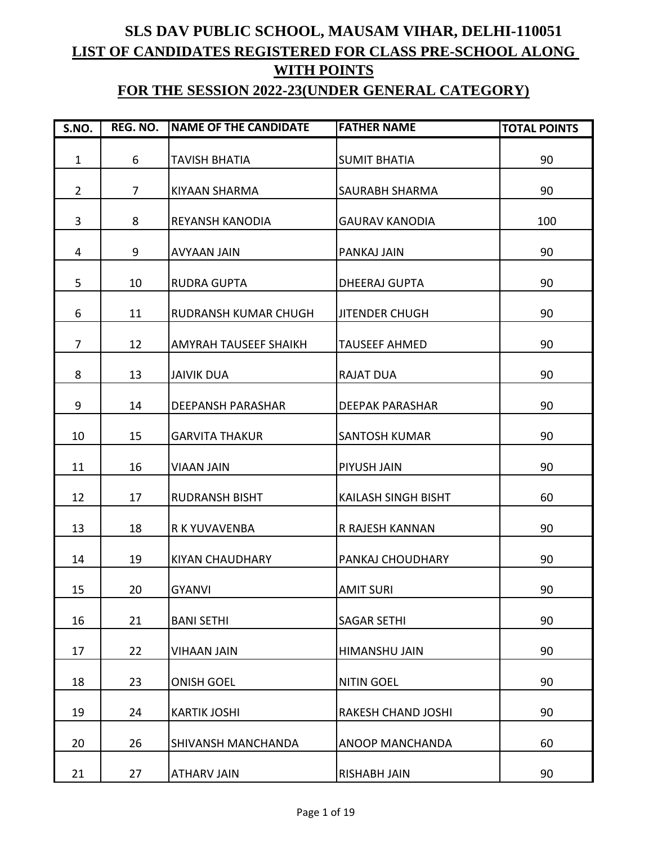## **SLS DAV PUBLIC SCHOOL, MAUSAM VIHAR, DELHI-110051 LIST OF CANDIDATES REGISTERED FOR CLASS PRE-SCHOOL ALONG WITH POINTS**

## **FOR THE SESSION 2022-23(UNDER GENERAL CATEGORY)**

| S.NO.          | REG. NO.       | NAME OF THE CANDIDATE       | <b>FATHER NAME</b>         | <b>TOTAL POINTS</b> |
|----------------|----------------|-----------------------------|----------------------------|---------------------|
| $\mathbf{1}$   | 6              | <b>TAVISH BHATIA</b>        | <b>SUMIT BHATIA</b>        | 90                  |
| $\overline{2}$ | $\overline{7}$ | KIYAAN SHARMA               | <b>SAURABH SHARMA</b>      | 90                  |
| 3              | 8              | <b>REYANSH KANODIA</b>      | <b>GAURAV KANODIA</b>      | 100                 |
| 4              | 9              | <b>AVYAAN JAIN</b>          | PANKAJ JAIN                | 90                  |
| 5              | 10             | <b>RUDRA GUPTA</b>          | <b>DHEERAJ GUPTA</b>       | 90                  |
| 6              | 11             | <b>RUDRANSH KUMAR CHUGH</b> | <b>JITENDER CHUGH</b>      | 90                  |
| $\overline{7}$ | 12             | AMYRAH TAUSEEF SHAIKH       | <b>TAUSEEF AHMED</b>       | 90                  |
| 8              | 13             | <b>JAIVIK DUA</b>           | <b>RAJAT DUA</b>           | 90                  |
| 9              | 14             | <b>DEEPANSH PARASHAR</b>    | <b>DEEPAK PARASHAR</b>     | 90                  |
| 10             | 15             | <b>GARVITA THAKUR</b>       | <b>SANTOSH KUMAR</b>       | 90                  |
| 11             | 16             | <b>VIAAN JAIN</b>           | PIYUSH JAIN                | 90                  |
| 12             | 17             | <b>RUDRANSH BISHT</b>       | <b>KAILASH SINGH BISHT</b> | 60                  |
| 13             | 18             | R K YUVAVENBA               | R RAJESH KANNAN            | 90                  |
| 14             | 19             | <b>KIYAN CHAUDHARY</b>      | PANKAJ CHOUDHARY           | 90                  |
| 15             | 20             | <b>GYANVI</b>               | <b>AMIT SURI</b>           | 90                  |
| 16             | 21             | <b>BANI SETHI</b>           | <b>SAGAR SETHI</b>         | 90                  |
| 17             | 22             | <b>VIHAAN JAIN</b>          | HIMANSHU JAIN              | 90                  |
| 18             | 23             | <b>ONISH GOEL</b>           | <b>NITIN GOEL</b>          | 90                  |
| 19             | 24             | <b>KARTIK JOSHI</b>         | <b>RAKESH CHAND JOSHI</b>  | 90                  |
| 20             | 26             | SHIVANSH MANCHANDA          | ANOOP MANCHANDA            | 60                  |
| 21             | 27             | <b>ATHARV JAIN</b>          | <b>RISHABH JAIN</b>        | 90                  |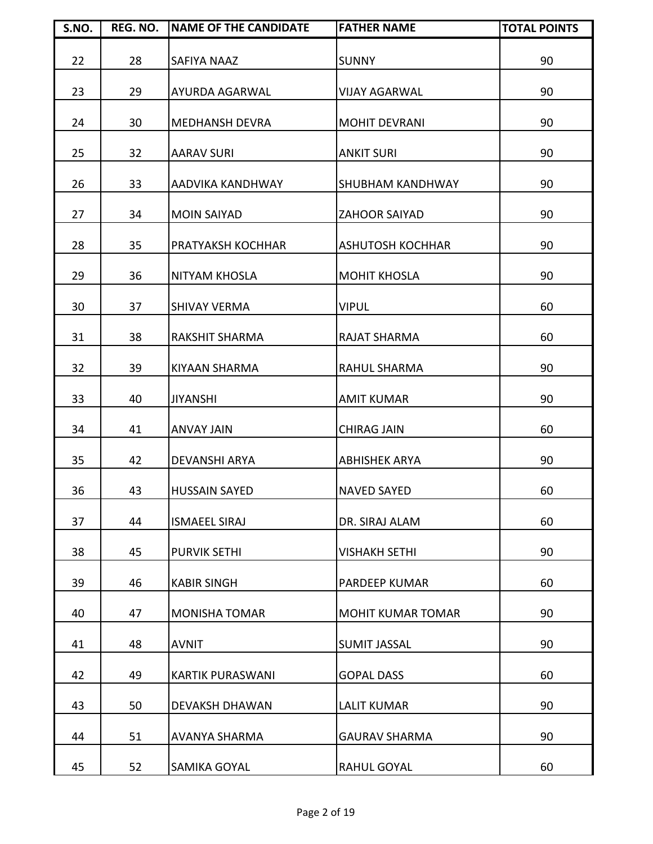| S.NO. | REG. NO. | <b>NAME OF THE CANDIDATE</b> | <b>FATHER NAME</b>       | <b>TOTAL POINTS</b> |
|-------|----------|------------------------------|--------------------------|---------------------|
| 22    | 28       | <b>SAFIYA NAAZ</b>           | <b>SUNNY</b>             | 90                  |
| 23    | 29       | <b>AYURDA AGARWAL</b>        | <b>VIJAY AGARWAL</b>     | 90                  |
| 24    | 30       | <b>MEDHANSH DEVRA</b>        | <b>MOHIT DEVRANI</b>     | 90                  |
| 25    | 32       | <b>AARAV SURI</b>            | <b>ANKIT SURI</b>        | 90                  |
| 26    | 33       | AADVIKA KANDHWAY             | <b>SHUBHAM KANDHWAY</b>  | 90                  |
| 27    | 34       | <b>MOIN SAIYAD</b>           | <b>ZAHOOR SAIYAD</b>     | 90                  |
| 28    | 35       | PRATYAKSH KOCHHAR            | <b>ASHUTOSH KOCHHAR</b>  | 90                  |
| 29    | 36       | NITYAM KHOSLA                | <b>MOHIT KHOSLA</b>      | 90                  |
| 30    | 37       | <b>SHIVAY VERMA</b>          | <b>VIPUL</b>             | 60                  |
| 31    | 38       | <b>RAKSHIT SHARMA</b>        | <b>RAJAT SHARMA</b>      | 60                  |
| 32    | 39       | <b>KIYAAN SHARMA</b>         | RAHUL SHARMA             | 90                  |
| 33    | 40       | <b>JIYANSHI</b>              | <b>AMIT KUMAR</b>        | 90                  |
| 34    | 41       | <b>ANVAY JAIN</b>            | <b>CHIRAG JAIN</b>       | 60                  |
| 35    | 42       | <b>DEVANSHI ARYA</b>         | <b>ABHISHEK ARYA</b>     | 90                  |
| 36    | 43       | <b>HUSSAIN SAYED</b>         | <b>NAVED SAYED</b>       | 60                  |
| 37    | 44       | <b>ISMAEEL SIRAJ</b>         | DR. SIRAJ ALAM           | 60                  |
| 38    | 45       | <b>PURVIK SETHI</b>          | <b>VISHAKH SETHI</b>     | 90                  |
| 39    | 46       | <b>KABIR SINGH</b>           | PARDEEP KUMAR            | 60                  |
| 40    | 47       | <b>MONISHA TOMAR</b>         | <b>MOHIT KUMAR TOMAR</b> | 90                  |
| 41    | 48       | <b>AVNIT</b>                 | <b>SUMIT JASSAL</b>      | 90                  |
| 42    | 49       | <b>KARTIK PURASWANI</b>      | <b>GOPAL DASS</b>        | 60                  |
| 43    | 50       | <b>DEVAKSH DHAWAN</b>        | <b>LALIT KUMAR</b>       | 90                  |
| 44    | 51       | AVANYA SHARMA                | <b>GAURAV SHARMA</b>     | 90                  |
| 45    | 52       | SAMIKA GOYAL                 | RAHUL GOYAL              | 60                  |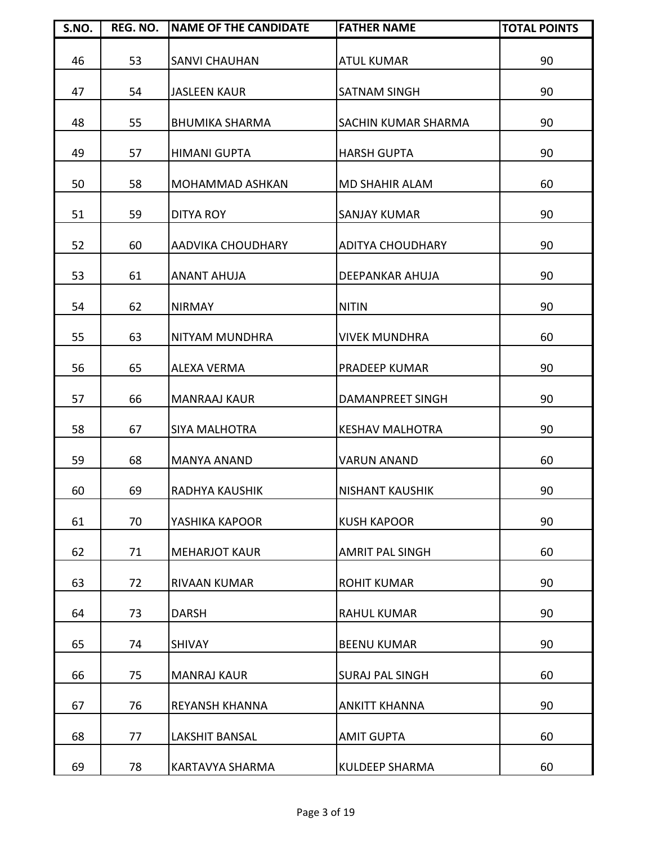| S.NO. | REG. NO. | <b>NAME OF THE CANDIDATE</b> | <b>FATHER NAME</b>         | <b>TOTAL POINTS</b> |
|-------|----------|------------------------------|----------------------------|---------------------|
| 46    | 53       | <b>SANVI CHAUHAN</b>         | <b>ATUL KUMAR</b>          | 90                  |
| 47    | 54       | <b>JASLEEN KAUR</b>          | <b>SATNAM SINGH</b>        | 90                  |
| 48    | 55       | <b>BHUMIKA SHARMA</b>        | <b>SACHIN KUMAR SHARMA</b> | 90                  |
| 49    | 57       | <b>HIMANI GUPTA</b>          | <b>HARSH GUPTA</b>         | 90                  |
| 50    | 58       | <b>MOHAMMAD ASHKAN</b>       | <b>MD SHAHIR ALAM</b>      | 60                  |
| 51    | 59       | <b>DITYA ROY</b>             | <b>SANJAY KUMAR</b>        | 90                  |
| 52    | 60       | AADVIKA CHOUDHARY            | <b>ADITYA CHOUDHARY</b>    | 90                  |
| 53    | 61       | <b>ANANT AHUJA</b>           | DEEPANKAR AHUJA            | 90                  |
| 54    | 62       | <b>NIRMAY</b>                | <b>NITIN</b>               | 90                  |
| 55    | 63       | NITYAM MUNDHRA               | <b>VIVEK MUNDHRA</b>       | 60                  |
| 56    | 65       | <b>ALEXA VERMA</b>           | PRADEEP KUMAR              | 90                  |
| 57    | 66       | <b>MANRAAJ KAUR</b>          | DAMANPREET SINGH           | 90                  |
| 58    | 67       | <b>SIYA MALHOTRA</b>         | <b>KESHAV MALHOTRA</b>     | 90                  |
| 59    | 68       | <b>MANYA ANAND</b>           | <b>VARUN ANAND</b>         | 60                  |
| 60    | 69       | <b>RADHYA KAUSHIK</b>        | <b>NISHANT KAUSHIK</b>     | 90                  |
| 61    | 70       | YASHIKA KAPOOR               | <b>KUSH KAPOOR</b>         | 90                  |
| 62    | 71       | <b>MEHARJOT KAUR</b>         | <b>AMRIT PAL SINGH</b>     | 60                  |
| 63    | 72       | <b>RIVAAN KUMAR</b>          | <b>ROHIT KUMAR</b>         | 90                  |
| 64    | 73       | <b>DARSH</b>                 | <b>RAHUL KUMAR</b>         | 90                  |
| 65    | 74       | <b>SHIVAY</b>                | <b>BEENU KUMAR</b>         | 90                  |
| 66    | 75       | <b>MANRAJ KAUR</b>           | <b>SURAJ PAL SINGH</b>     | 60                  |
| 67    | 76       | REYANSH KHANNA               | <b>ANKITT KHANNA</b>       | 90                  |
| 68    | 77       | <b>LAKSHIT BANSAL</b>        | <b>AMIT GUPTA</b>          | 60                  |
| 69    | 78       | KARTAVYA SHARMA              | <b>KULDEEP SHARMA</b>      | 60                  |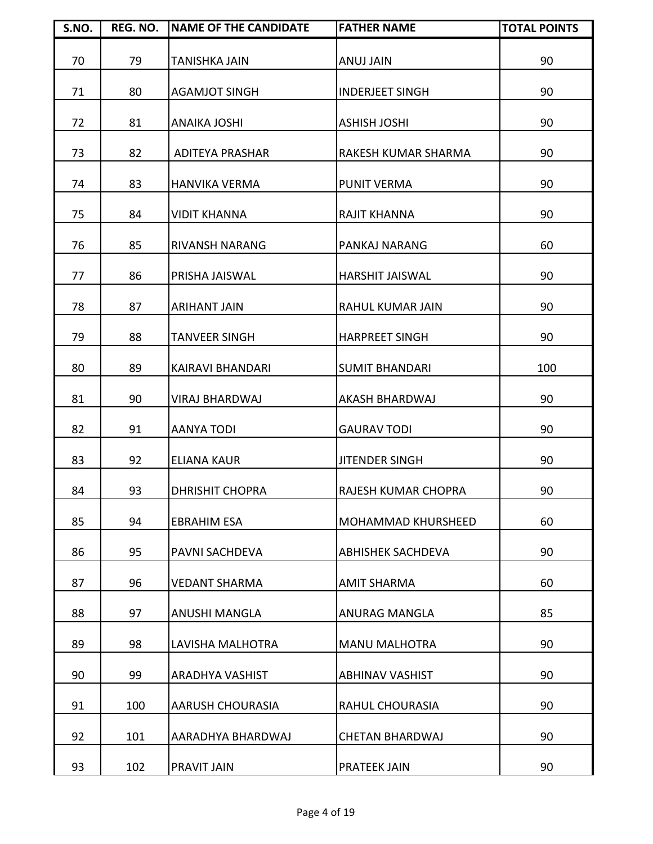| S.NO. | REG. NO. | <b>NAME OF THE CANDIDATE</b> | <b>FATHER NAME</b>        | <b>TOTAL POINTS</b> |
|-------|----------|------------------------------|---------------------------|---------------------|
| 70    | 79       | <b>TANISHKA JAIN</b>         | <b>ANUJ JAIN</b>          | 90                  |
| 71    | 80       | <b>AGAMJOT SINGH</b>         | <b>INDERJEET SINGH</b>    | 90                  |
| 72    | 81       | <b>ANAIKA JOSHI</b>          | <b>ASHISH JOSHI</b>       | 90                  |
| 73    | 82       | <b>ADITEYA PRASHAR</b>       | RAKESH KUMAR SHARMA       | 90                  |
| 74    | 83       | <b>HANVIKA VERMA</b>         | <b>PUNIT VERMA</b>        | 90                  |
| 75    | 84       | <b>VIDIT KHANNA</b>          | <b>RAJIT KHANNA</b>       | 90                  |
| 76    | 85       | <b>RIVANSH NARANG</b>        | PANKAJ NARANG             | 60                  |
| 77    | 86       | PRISHA JAISWAL               | <b>HARSHIT JAISWAL</b>    | 90                  |
| 78    | 87       | <b>ARIHANT JAIN</b>          | <b>RAHUL KUMAR JAIN</b>   | 90                  |
| 79    | 88       | <b>TANVEER SINGH</b>         | <b>HARPREET SINGH</b>     | 90                  |
| 80    | 89       | KAIRAVI BHANDARI             | <b>SUMIT BHANDARI</b>     | 100                 |
| 81    | 90       | <b>VIRAJ BHARDWAJ</b>        | AKASH BHARDWAJ            | 90                  |
| 82    | 91       | <b>AANYA TODI</b>            | <b>GAURAV TODI</b>        | 90                  |
| 83    | 92       | <b>ELIANA KAUR</b>           | <b>JITENDER SINGH</b>     | 90                  |
| 84    | 93       | <b>DHRISHIT CHOPRA</b>       | RAJESH KUMAR CHOPRA       | 90                  |
| 85    | 94       | <b>EBRAHIM ESA</b>           | <b>MOHAMMAD KHURSHEED</b> | 60                  |
| 86    | 95       | PAVNI SACHDEVA               | <b>ABHISHEK SACHDEVA</b>  | 90                  |
| 87    | 96       | <b>VEDANT SHARMA</b>         | <b>AMIT SHARMA</b>        | 60                  |
| 88    | 97       | <b>ANUSHI MANGLA</b>         | <b>ANURAG MANGLA</b>      | 85                  |
| 89    | 98       | LAVISHA MALHOTRA             | <b>MANU MALHOTRA</b>      | 90                  |
| 90    | 99       | ARADHYA VASHIST              | <b>ABHINAV VASHIST</b>    | 90                  |
| 91    | 100      | <b>AARUSH CHOURASIA</b>      | RAHUL CHOURASIA           | 90                  |
| 92    | 101      | AARADHYA BHARDWAJ            | <b>CHETAN BHARDWAJ</b>    | 90                  |
| 93    | 102      | PRAVIT JAIN                  | <b>PRATEEK JAIN</b>       | 90                  |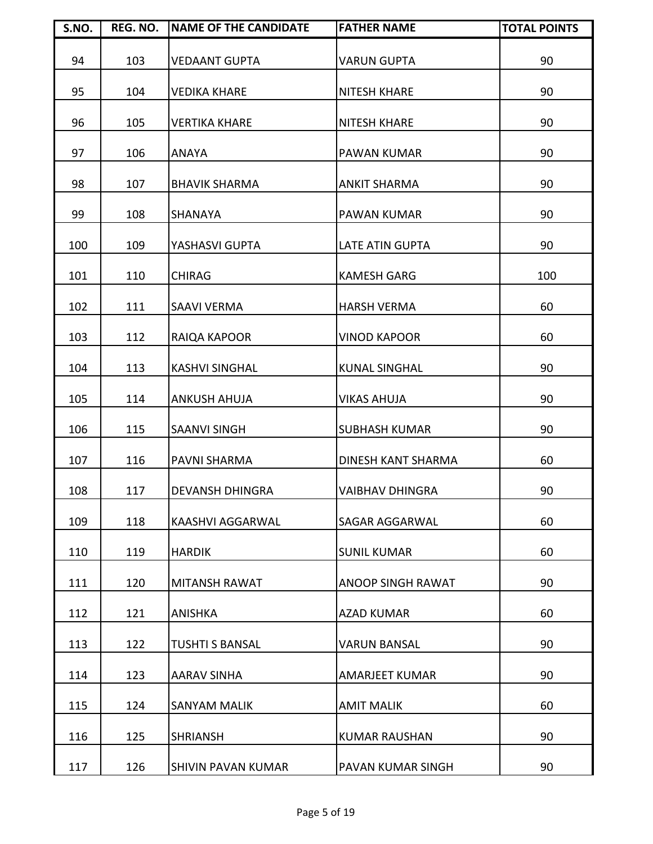| S.NO. | REG. NO. | <b>NAME OF THE CANDIDATE</b> | <b>FATHER NAME</b>        | <b>TOTAL POINTS</b> |
|-------|----------|------------------------------|---------------------------|---------------------|
| 94    | 103      | <b>VEDAANT GUPTA</b>         | <b>VARUN GUPTA</b>        | 90                  |
| 95    | 104      | <b>VEDIKA KHARE</b>          | <b>NITESH KHARE</b>       | 90                  |
| 96    | 105      | <b>VERTIKA KHARE</b>         | <b>NITESH KHARE</b>       | 90                  |
| 97    | 106      | <b>ANAYA</b>                 | PAWAN KUMAR               | 90                  |
| 98    | 107      | <b>BHAVIK SHARMA</b>         | <b>ANKIT SHARMA</b>       | 90                  |
| 99    | 108      | <b>SHANAYA</b>               | <b>PAWAN KUMAR</b>        | 90                  |
| 100   | 109      | YASHASVI GUPTA               | LATE ATIN GUPTA           | 90                  |
| 101   | 110      | <b>CHIRAG</b>                | <b>KAMESH GARG</b>        | 100                 |
| 102   | 111      | <b>SAAVI VERMA</b>           | <b>HARSH VERMA</b>        | 60                  |
| 103   | 112      | RAIQA KAPOOR                 | <b>VINOD KAPOOR</b>       | 60                  |
| 104   | 113      | <b>KASHVI SINGHAL</b>        | <b>KUNAL SINGHAL</b>      | 90                  |
| 105   | 114      | <b>ANKUSH AHUJA</b>          | <b>VIKAS AHUJA</b>        | 90                  |
| 106   | 115      | <b>SAANVI SINGH</b>          | <b>SUBHASH KUMAR</b>      | 90                  |
| 107   | 116      | <b>PAVNI SHARMA</b>          | <b>DINESH KANT SHARMA</b> | 60                  |
| 108   | 117      | <b>DEVANSH DHINGRA</b>       | <b>VAIBHAV DHINGRA</b>    | 90                  |
| 109   | 118      | KAASHVI AGGARWAL             | SAGAR AGGARWAL            | 60                  |
| 110   | 119      | <b>HARDIK</b>                | <b>SUNIL KUMAR</b>        | 60                  |
| 111   | 120      | <b>MITANSH RAWAT</b>         | <b>ANOOP SINGH RAWAT</b>  | 90                  |
| 112   | 121      | <b>ANISHKA</b>               | <b>AZAD KUMAR</b>         | 60                  |
| 113   | 122      | <b>TUSHTI S BANSAL</b>       | <b>VARUN BANSAL</b>       | 90                  |
| 114   | 123      | <b>AARAV SINHA</b>           | <b>AMARJEET KUMAR</b>     | 90                  |
| 115   | 124      | <b>SANYAM MALIK</b>          | <b>AMIT MALIK</b>         | 60                  |
| 116   | 125      | <b>SHRIANSH</b>              | <b>KUMAR RAUSHAN</b>      | 90                  |
| 117   | 126      | <b>SHIVIN PAVAN KUMAR</b>    | PAVAN KUMAR SINGH         | 90                  |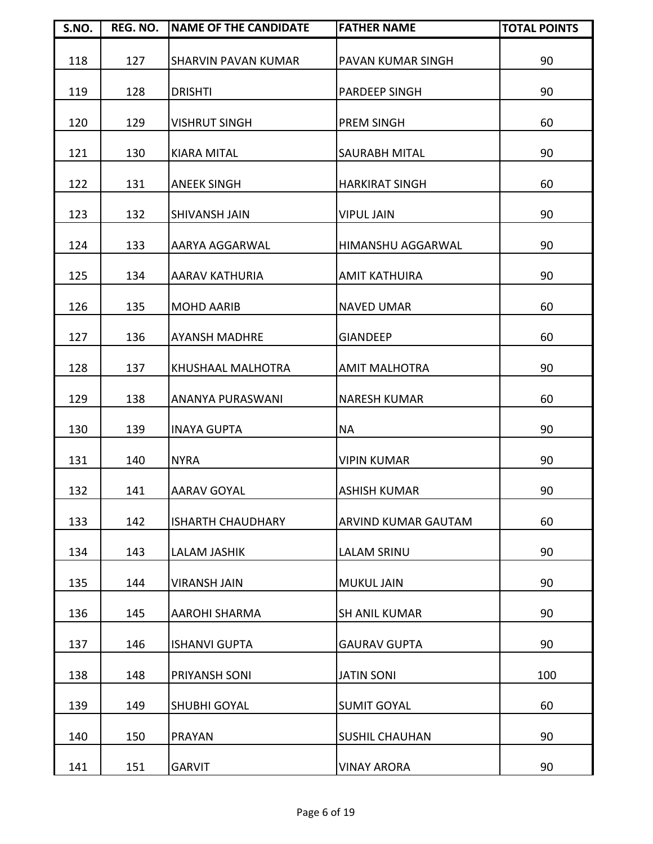| S.NO. | REG. NO. | <b>NAME OF THE CANDIDATE</b> | <b>FATHER NAME</b>       | <b>TOTAL POINTS</b> |
|-------|----------|------------------------------|--------------------------|---------------------|
| 118   | 127      | <b>SHARVIN PAVAN KUMAR</b>   | PAVAN KUMAR SINGH        | 90                  |
| 119   | 128      | <b>DRISHTI</b>               | PARDEEP SINGH            | 90                  |
| 120   | 129      | <b>VISHRUT SINGH</b>         | PREM SINGH               | 60                  |
| 121   | 130      | <b>KIARA MITAL</b>           | <b>SAURABH MITAL</b>     | 90                  |
| 122   | 131      | <b>ANEEK SINGH</b>           | <b>HARKIRAT SINGH</b>    | 60                  |
| 123   | 132      | <b>SHIVANSH JAIN</b>         | <b>VIPUL JAIN</b>        | 90                  |
| 124   | 133      | AARYA AGGARWAL               | <b>HIMANSHU AGGARWAL</b> | 90                  |
| 125   | 134      | <b>AARAV KATHURIA</b>        | <b>AMIT KATHUIRA</b>     | 90                  |
| 126   | 135      | <b>MOHD AARIB</b>            | <b>NAVED UMAR</b>        | 60                  |
| 127   | 136      | <b>AYANSH MADHRE</b>         | <b>GIANDEEP</b>          | 60                  |
| 128   | 137      | KHUSHAAL MALHOTRA            | <b>AMIT MALHOTRA</b>     | 90                  |
| 129   | 138      | ANANYA PURASWANI             | <b>NARESH KUMAR</b>      | 60                  |
| 130   | 139      | <b>INAYA GUPTA</b>           | <b>NA</b>                | 90                  |
| 131   | 140      | <b>NYRA</b>                  | <b>VIPIN KUMAR</b>       | 90                  |
| 132   | 141      | <b>AARAV GOYAL</b>           | <b>ASHISH KUMAR</b>      | 90                  |
| 133   | 142      | <b>ISHARTH CHAUDHARY</b>     | ARVIND KUMAR GAUTAM      | 60                  |
| 134   | 143      | <b>LALAM JASHIK</b>          | <b>LALAM SRINU</b>       | 90                  |
| 135   | 144      | <b>VIRANSH JAIN</b>          | <b>MUKUL JAIN</b>        | 90                  |
| 136   | 145      | <b>AAROHI SHARMA</b>         | <b>SH ANIL KUMAR</b>     | 90                  |
| 137   | 146      | <b>ISHANVI GUPTA</b>         | <b>GAURAV GUPTA</b>      | 90                  |
| 138   | 148      | PRIYANSH SONI                | <b>JATIN SONI</b>        | 100                 |
| 139   | 149      | <b>SHUBHI GOYAL</b>          | <b>SUMIT GOYAL</b>       | 60                  |
| 140   | 150      | <b>PRAYAN</b>                | <b>SUSHIL CHAUHAN</b>    | 90                  |
| 141   | 151      | <b>GARVIT</b>                | <b>VINAY ARORA</b>       | 90                  |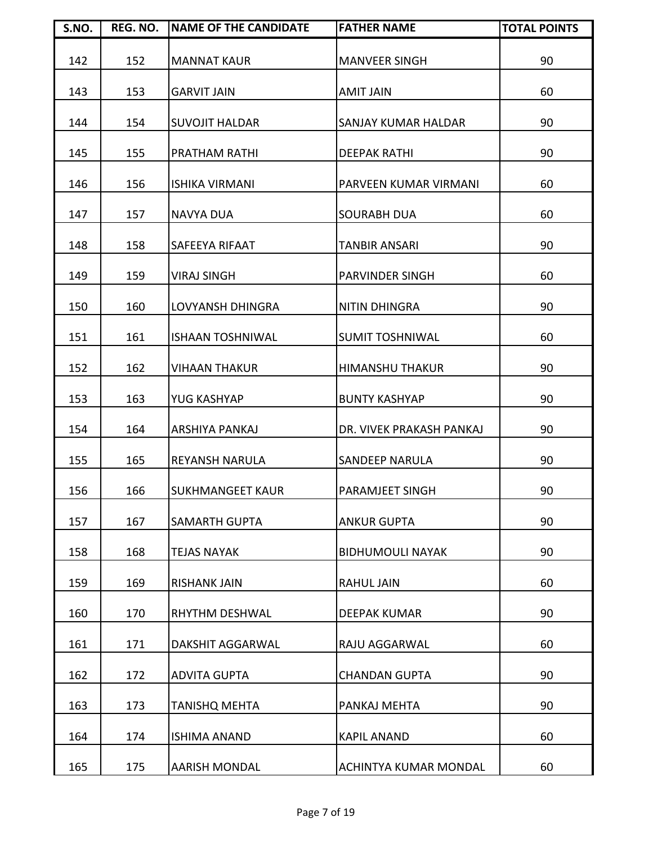| S.NO. | REG. NO. | <b>NAME OF THE CANDIDATE</b> | <b>FATHER NAME</b>       | <b>TOTAL POINTS</b> |
|-------|----------|------------------------------|--------------------------|---------------------|
| 142   | 152      | <b>MANNAT KAUR</b>           | <b>MANVEER SINGH</b>     | 90                  |
| 143   | 153      | <b>GARVIT JAIN</b>           | <b>AMIT JAIN</b>         | 60                  |
| 144   | 154      | <b>SUVOJIT HALDAR</b>        | SANJAY KUMAR HALDAR      | 90                  |
| 145   | 155      | <b>PRATHAM RATHI</b>         | <b>DEEPAK RATHI</b>      | 90                  |
| 146   | 156      | <b>ISHIKA VIRMANI</b>        | PARVEEN KUMAR VIRMANI    | 60                  |
| 147   | 157      | <b>NAVYA DUA</b>             | <b>SOURABH DUA</b>       | 60                  |
| 148   | 158      | SAFEEYA RIFAAT               | TANBIR ANSARI            | 90                  |
| 149   | 159      | <b>VIRAJ SINGH</b>           | <b>PARVINDER SINGH</b>   | 60                  |
| 150   | 160      | <b>LOVYANSH DHINGRA</b>      | <b>NITIN DHINGRA</b>     | 90                  |
| 151   | 161      | <b>ISHAAN TOSHNIWAL</b>      | <b>SUMIT TOSHNIWAL</b>   | 60                  |
| 152   | 162      | <b>VIHAAN THAKUR</b>         | <b>HIMANSHU THAKUR</b>   | 90                  |
| 153   | 163      | YUG KASHYAP                  | <b>BUNTY KASHYAP</b>     | 90                  |
| 154   | 164      | ARSHIYA PANKAJ               | DR. VIVEK PRAKASH PANKAJ | 90                  |
| 155   | 165      | <b>REYANSH NARULA</b>        | <b>SANDEEP NARULA</b>    | 90                  |
| 156   | 166      | <b>SUKHMANGEET KAUR</b>      | <b>PARAMJEET SINGH</b>   | 90                  |
| 157   | 167      | <b>SAMARTH GUPTA</b>         | <b>ANKUR GUPTA</b>       | 90                  |
| 158   | 168      | <b>TEJAS NAYAK</b>           | <b>BIDHUMOULI NAYAK</b>  | 90                  |
| 159   | 169      | <b>RISHANK JAIN</b>          | <b>RAHUL JAIN</b>        | 60                  |
| 160   | 170      | <b>RHYTHM DESHWAL</b>        | <b>DEEPAK KUMAR</b>      | 90                  |
| 161   | 171      | <b>DAKSHIT AGGARWAL</b>      | RAJU AGGARWAL            | 60                  |
| 162   | 172      | <b>ADVITA GUPTA</b>          | <b>CHANDAN GUPTA</b>     | 90                  |
| 163   | 173      | <b>TANISHQ MEHTA</b>         | PANKAJ MEHTA             | 90                  |
| 164   | 174      | <b>ISHIMA ANAND</b>          | <b>KAPIL ANAND</b>       | 60                  |
| 165   | 175      | <b>AARISH MONDAL</b>         | ACHINTYA KUMAR MONDAL    | 60                  |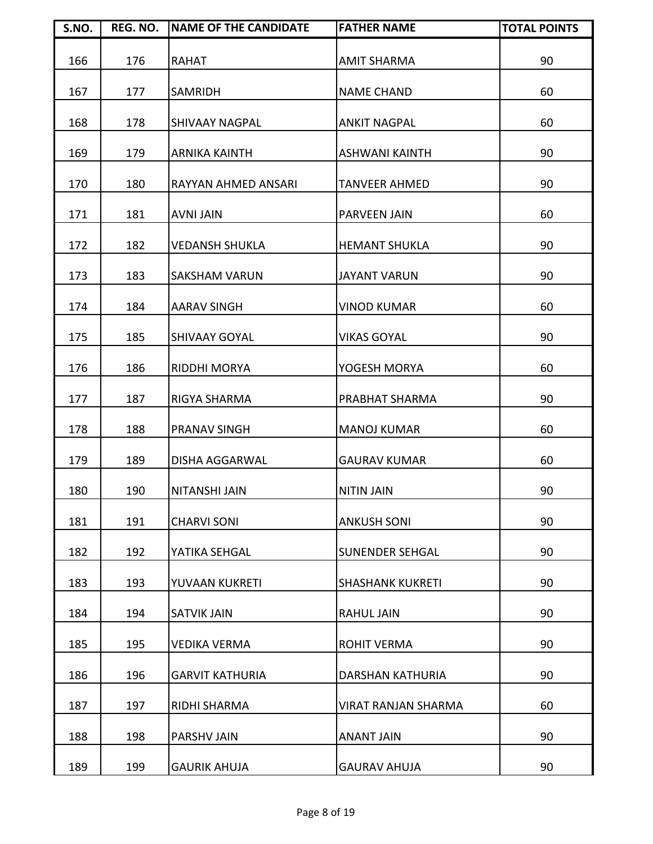| S.NO. | REG. NO. | <b>NAME OF THE CANDIDATE</b> | <b>FATHER NAME</b>      | <b>TOTAL POINTS</b> |
|-------|----------|------------------------------|-------------------------|---------------------|
| 166   | 176      | <b>RAHAT</b>                 | <b>AMIT SHARMA</b>      | 90                  |
| 167   | 177      | <b>SAMRIDH</b>               | <b>NAME CHAND</b>       | 60                  |
| 168   | 178      | <b>SHIVAAY NAGPAL</b>        | <b>ANKIT NAGPAL</b>     | 60                  |
| 169   | 179      | <b>ARNIKA KAINTH</b>         | <b>ASHWANI KAINTH</b>   | 90                  |
| 170   | 180      | <b>RAYYAN AHMED ANSARI</b>   | <b>TANVEER AHMED</b>    | 90                  |
| 171   | 181      | <b>AVNI JAIN</b>             | PARVEEN JAIN            | 60                  |
| 172   | 182      | <b>VEDANSH SHUKLA</b>        | <b>HEMANT SHUKLA</b>    | 90                  |
| 173   | 183      | <b>SAKSHAM VARUN</b>         | <b>JAYANT VARUN</b>     | 90                  |
| 174   | 184      | <b>AARAV SINGH</b>           | <b>VINOD KUMAR</b>      | 60                  |
| 175   | 185      | <b>SHIVAAY GOYAL</b>         | <b>VIKAS GOYAL</b>      | 90                  |
| 176   | 186      | <b>RIDDHI MORYA</b>          | YOGESH MORYA            | 60                  |
| 177   | 187      | <b>RIGYA SHARMA</b>          | PRABHAT SHARMA          | 90                  |
| 178   | 188      | <b>PRANAV SINGH</b>          | <b>MANOJ KUMAR</b>      | 60                  |
| 179   | 189      | <b>DISHA AGGARWAL</b>        | <b>GAURAV KUMAR</b>     | 60                  |
| 180   | 190      | <b>NITANSHI JAIN</b>         | <b>NITIN JAIN</b>       | 90                  |
| 181   | 191      | <b>CHARVI SONI</b>           | <b>ANKUSH SONI</b>      | 90                  |
| 182   | 192      | YATIKA SEHGAL                | <b>SUNENDER SEHGAL</b>  | 90                  |
| 183   | 193      | YUVAAN KUKRETI               | <b>SHASHANK KUKRETI</b> | 90                  |
| 184   | 194      | <b>SATVIK JAIN</b>           | <b>RAHUL JAIN</b>       | 90                  |
| 185   | 195      | <b>VEDIKA VERMA</b>          | <b>ROHIT VERMA</b>      | 90                  |
| 186   | 196      | <b>GARVIT KATHURIA</b>       | DARSHAN KATHURIA        | 90                  |
| 187   | 197      | RIDHI SHARMA                 | VIRAT RANJAN SHARMA     | 60                  |
| 188   | 198      | <b>PARSHV JAIN</b>           | <b>ANANT JAIN</b>       | 90                  |
| 189   | 199      | <b>GAURIK AHUJA</b>          | <b>GAURAV AHUJA</b>     | 90                  |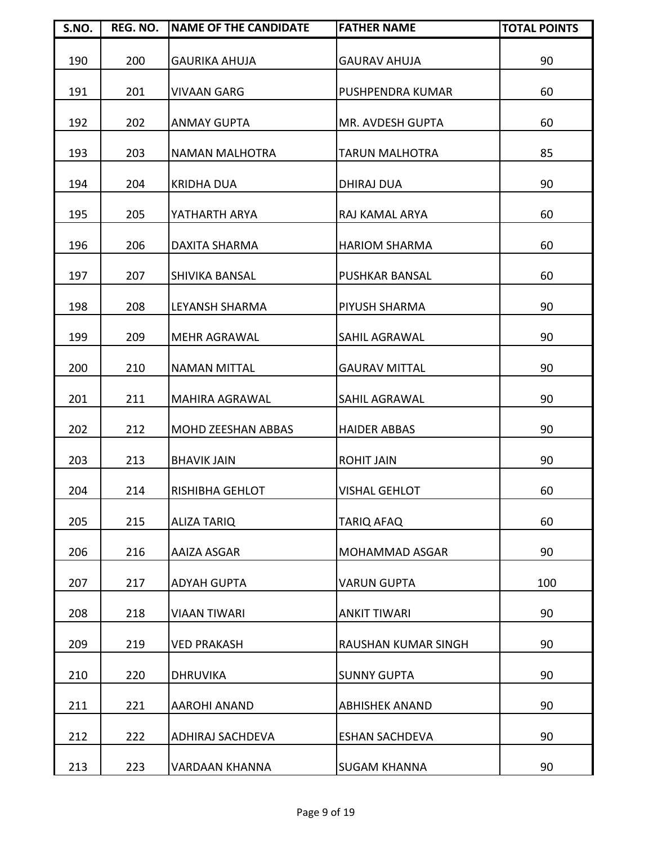| S.NO. | REG. NO. | <b>NAME OF THE CANDIDATE</b> | <b>FATHER NAME</b>    | <b>TOTAL POINTS</b> |
|-------|----------|------------------------------|-----------------------|---------------------|
| 190   | 200      | <b>GAURIKA AHUJA</b>         | <b>GAURAV AHUJA</b>   | 90                  |
| 191   | 201      | <b>VIVAAN GARG</b>           | PUSHPENDRA KUMAR      | 60                  |
| 192   | 202      | <b>ANMAY GUPTA</b>           | MR. AVDESH GUPTA      | 60                  |
| 193   | 203      | <b>NAMAN MALHOTRA</b>        | <b>TARUN MALHOTRA</b> | 85                  |
| 194   | 204      | <b>KRIDHA DUA</b>            | <b>DHIRAJ DUA</b>     | 90                  |
| 195   | 205      | YATHARTH ARYA                | RAJ KAMAL ARYA        | 60                  |
| 196   | 206      | <b>DAXITA SHARMA</b>         | <b>HARIOM SHARMA</b>  | 60                  |
| 197   | 207      | <b>SHIVIKA BANSAL</b>        | <b>PUSHKAR BANSAL</b> | 60                  |
| 198   | 208      | LEYANSH SHARMA               | PIYUSH SHARMA         | 90                  |
| 199   | 209      | <b>MEHR AGRAWAL</b>          | <b>SAHIL AGRAWAL</b>  | 90                  |
| 200   | 210      | <b>NAMAN MITTAL</b>          | <b>GAURAV MITTAL</b>  | 90                  |
| 201   | 211      | <b>MAHIRA AGRAWAL</b>        | SAHIL AGRAWAL         | 90                  |
| 202   | 212      | <b>MOHD ZEESHAN ABBAS</b>    | <b>HAIDER ABBAS</b>   | 90                  |
| 203   | 213      | <b>BHAVIK JAIN</b>           | <b>ROHIT JAIN</b>     | 90                  |
| 204   | 214      | <b>RISHIBHA GEHLOT</b>       | <b>VISHAL GEHLOT</b>  | 60                  |
| 205   | 215      | <b>ALIZA TARIQ</b>           | TARIQ AFAQ            | 60                  |
| 206   | 216      | AAIZA ASGAR                  | <b>MOHAMMAD ASGAR</b> | 90                  |
| 207   | 217      | <b>ADYAH GUPTA</b>           | <b>VARUN GUPTA</b>    | 100                 |
| 208   | 218      | <b>VIAAN TIWARI</b>          | <b>ANKIT TIWARI</b>   | 90                  |
| 209   | 219      | <b>VED PRAKASH</b>           | RAUSHAN KUMAR SINGH   | 90                  |
| 210   | 220      | <b>DHRUVIKA</b>              | <b>SUNNY GUPTA</b>    | 90                  |
| 211   | 221      | <b>AAROHI ANAND</b>          | <b>ABHISHEK ANAND</b> | 90                  |
| 212   | 222      | <b>ADHIRAJ SACHDEVA</b>      | <b>ESHAN SACHDEVA</b> | 90                  |
| 213   | 223      | <b>VARDAAN KHANNA</b>        | <b>SUGAM KHANNA</b>   | 90                  |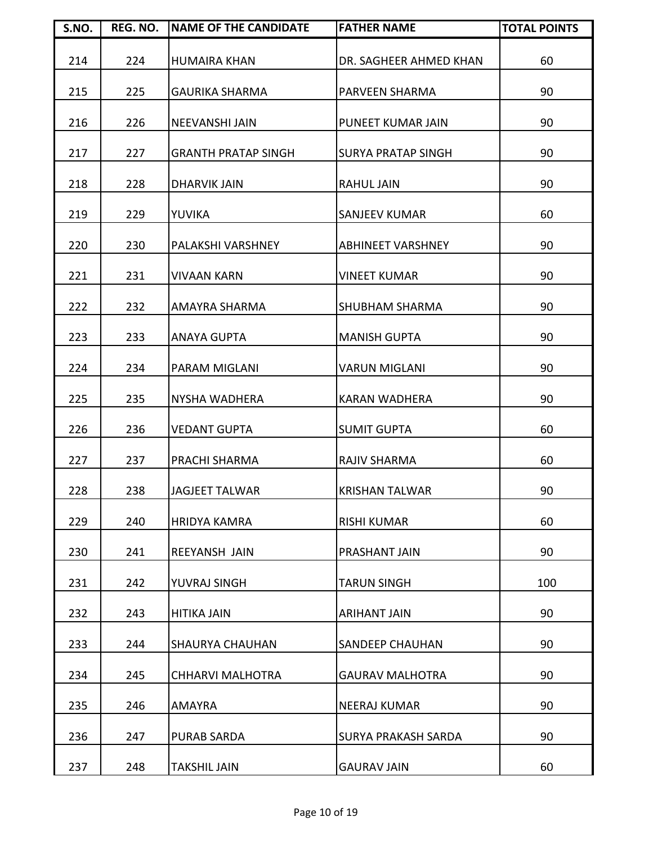| S.NO. | REG. NO. | <b>NAME OF THE CANDIDATE</b> | <b>FATHER NAME</b>        | <b>TOTAL POINTS</b> |
|-------|----------|------------------------------|---------------------------|---------------------|
| 214   | 224      | <b>HUMAIRA KHAN</b>          | DR. SAGHEER AHMED KHAN    | 60                  |
| 215   | 225      | <b>GAURIKA SHARMA</b>        | PARVEEN SHARMA            | 90                  |
| 216   | 226      | <b>NEEVANSHI JAIN</b>        | PUNEET KUMAR JAIN         | 90                  |
| 217   | 227      | <b>GRANTH PRATAP SINGH</b>   | <b>SURYA PRATAP SINGH</b> | 90                  |
| 218   | 228      | <b>DHARVIK JAIN</b>          | <b>RAHUL JAIN</b>         | 90                  |
| 219   | 229      | YUVIKA                       | <b>SANJEEV KUMAR</b>      | 60                  |
| 220   | 230      | PALAKSHI VARSHNEY            | <b>ABHINEET VARSHNEY</b>  | 90                  |
| 221   | 231      | <b>VIVAAN KARN</b>           | <b>VINEET KUMAR</b>       | 90                  |
| 222   | 232      | AMAYRA SHARMA                | <b>SHUBHAM SHARMA</b>     | 90                  |
| 223   | 233      | <b>ANAYA GUPTA</b>           | <b>MANISH GUPTA</b>       | 90                  |
| 224   | 234      | <b>PARAM MIGLANI</b>         | <b>VARUN MIGLANI</b>      | 90                  |
| 225   | 235      | <b>NYSHA WADHERA</b>         | <b>KARAN WADHERA</b>      | 90                  |
| 226   | 236      | <b>VEDANT GUPTA</b>          | <b>SUMIT GUPTA</b>        | 60                  |
| 227   | 237      | <b>PRACHI SHARMA</b>         | <b>RAJIV SHARMA</b>       | 60                  |
| 228   | 238      | <b>JAGJEET TALWAR</b>        | <b>KRISHAN TALWAR</b>     | 90                  |
| 229   | 240      | <b>HRIDYA KAMRA</b>          | <b>RISHI KUMAR</b>        | 60                  |
| 230   | 241      | <b>REEYANSH JAIN</b>         | PRASHANT JAIN             | 90                  |
| 231   | 242      | YUVRAJ SINGH                 | <b>TARUN SINGH</b>        | 100                 |
| 232   | 243      | <b>HITIKA JAIN</b>           | <b>ARIHANT JAIN</b>       | 90                  |
| 233   | 244      | <b>SHAURYA CHAUHAN</b>       | <b>SANDEEP CHAUHAN</b>    | 90                  |
| 234   | 245      | <b>CHHARVI MALHOTRA</b>      | <b>GAURAV MALHOTRA</b>    | 90                  |
| 235   | 246      | AMAYRA                       | <b>NEERAJ KUMAR</b>       | 90                  |
| 236   | 247      | <b>PURAB SARDA</b>           | SURYA PRAKASH SARDA       | 90                  |
| 237   | 248      | <b>TAKSHIL JAIN</b>          | <b>GAURAV JAIN</b>        | 60                  |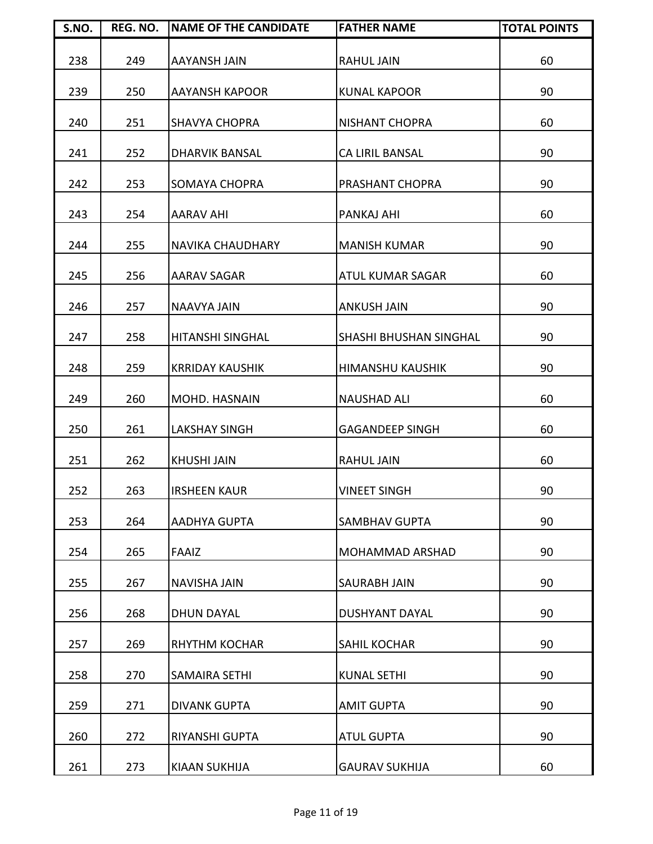| S.NO. | REG. NO. | <b>NAME OF THE CANDIDATE</b> | <b>FATHER NAME</b>      | <b>TOTAL POINTS</b> |
|-------|----------|------------------------------|-------------------------|---------------------|
| 238   | 249      | <b>AAYANSH JAIN</b>          | <b>RAHUL JAIN</b>       | 60                  |
| 239   | 250      | <b>AAYANSH KAPOOR</b>        | <b>KUNAL KAPOOR</b>     | 90                  |
| 240   | 251      | <b>SHAVYA CHOPRA</b>         | <b>NISHANT CHOPRA</b>   | 60                  |
| 241   | 252      | <b>DHARVIK BANSAL</b>        | <b>CA LIRIL BANSAL</b>  | 90                  |
| 242   | 253      | <b>SOMAYA CHOPRA</b>         | PRASHANT CHOPRA         | 90                  |
| 243   | 254      | <b>AARAV AHI</b>             | PANKAJ AHI              | 60                  |
| 244   | 255      | <b>NAVIKA CHAUDHARY</b>      | <b>MANISH KUMAR</b>     | 90                  |
| 245   | 256      | <b>AARAV SAGAR</b>           | <b>ATUL KUMAR SAGAR</b> | 60                  |
| 246   | 257      | <b>NAAVYA JAIN</b>           | <b>ANKUSH JAIN</b>      | 90                  |
| 247   | 258      | <b>HITANSHI SINGHAL</b>      | SHASHI BHUSHAN SINGHAL  | 90                  |
| 248   | 259      | <b>KRRIDAY KAUSHIK</b>       | <b>HIMANSHU KAUSHIK</b> | 90                  |
| 249   | 260      | MOHD. HASNAIN                | <b>NAUSHAD ALI</b>      | 60                  |
| 250   | 261      | <b>LAKSHAY SINGH</b>         | <b>GAGANDEEP SINGH</b>  | 60                  |
| 251   | 262      | <b>KHUSHI JAIN</b>           | <b>RAHUL JAIN</b>       | 60                  |
| 252   | 263      | <b>IRSHEEN KAUR</b>          | <b>VINEET SINGH</b>     | 90                  |
| 253   | 264      | AADHYA GUPTA                 | <b>SAMBHAV GUPTA</b>    | 90                  |
| 254   | 265      | <b>FAAIZ</b>                 | <b>MOHAMMAD ARSHAD</b>  | 90                  |
| 255   | 267      | <b>NAVISHA JAIN</b>          | <b>SAURABH JAIN</b>     | 90                  |
| 256   | 268      | <b>DHUN DAYAL</b>            | <b>DUSHYANT DAYAL</b>   | 90                  |
| 257   | 269      | <b>RHYTHM KOCHAR</b>         | <b>SAHIL KOCHAR</b>     | 90                  |
| 258   | 270      | <b>SAMAIRA SETHI</b>         | <b>KUNAL SETHI</b>      | 90                  |
| 259   | 271      | <b>DIVANK GUPTA</b>          | <b>AMIT GUPTA</b>       | 90                  |
| 260   | 272      | <b>RIYANSHI GUPTA</b>        | <b>ATUL GUPTA</b>       | 90                  |
| 261   | 273      | <b>KIAAN SUKHIJA</b>         | <b>GAURAV SUKHIJA</b>   | 60                  |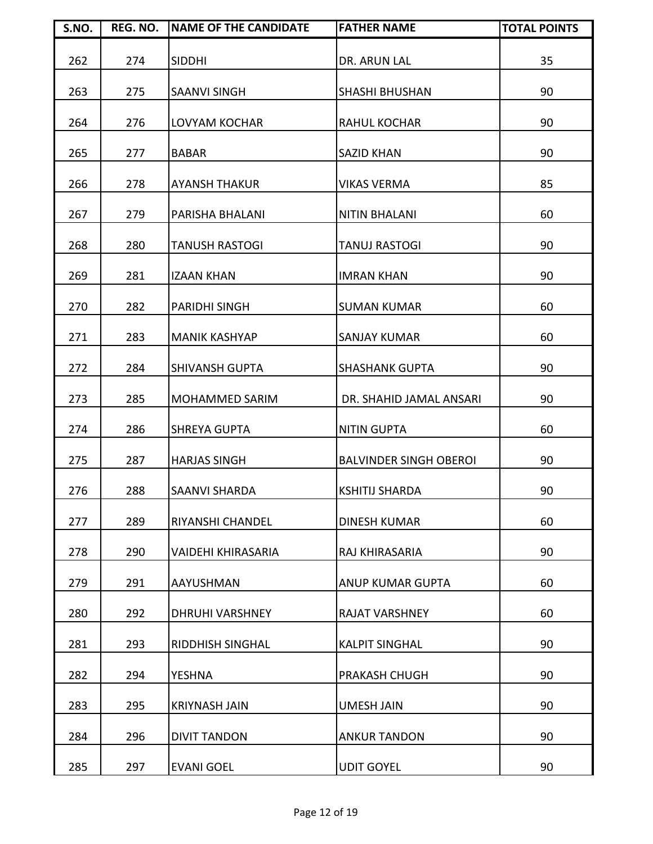| S.NO. | REG. NO. | <b>NAME OF THE CANDIDATE</b> | <b>FATHER NAME</b>            | <b>TOTAL POINTS</b> |
|-------|----------|------------------------------|-------------------------------|---------------------|
| 262   | 274      | <b>SIDDHI</b>                | DR. ARUN LAL                  | 35                  |
| 263   | 275      | <b>SAANVI SINGH</b>          | <b>SHASHI BHUSHAN</b>         | 90                  |
| 264   | 276      | LOVYAM KOCHAR                | <b>RAHUL KOCHAR</b>           | 90                  |
| 265   | 277      | <b>BABAR</b>                 | <b>SAZID KHAN</b>             | 90                  |
| 266   | 278      | <b>AYANSH THAKUR</b>         | <b>VIKAS VERMA</b>            | 85                  |
| 267   | 279      | PARISHA BHALANI              | <b>NITIN BHALANI</b>          | 60                  |
| 268   | 280      | <b>TANUSH RASTOGI</b>        | <b>TANUJ RASTOGI</b>          | 90                  |
| 269   | 281      | <b>IZAAN KHAN</b>            | <b>IMRAN KHAN</b>             | 90                  |
| 270   | 282      | <b>PARIDHI SINGH</b>         | <b>SUMAN KUMAR</b>            | 60                  |
| 271   | 283      | <b>MANIK KASHYAP</b>         | <b>SANJAY KUMAR</b>           | 60                  |
| 272   | 284      | <b>SHIVANSH GUPTA</b>        | <b>SHASHANK GUPTA</b>         | 90                  |
| 273   | 285      | <b>MOHAMMED SARIM</b>        | DR. SHAHID JAMAL ANSARI       | 90                  |
| 274   | 286      | <b>SHREYA GUPTA</b>          | <b>NITIN GUPTA</b>            | 60                  |
| 275   | 287      | <b>HARJAS SINGH</b>          | <b>BALVINDER SINGH OBEROI</b> | 90                  |
| 276   | 288      | <b>SAANVI SHARDA</b>         | <b>KSHITIJ SHARDA</b>         | 90                  |
| 277   | 289      | RIYANSHI CHANDEL             | <b>DINESH KUMAR</b>           | 60                  |
| 278   | 290      | <b>VAIDEHI KHIRASARIA</b>    | RAJ KHIRASARIA                | 90                  |
| 279   | 291      | AAYUSHMAN                    | <b>ANUP KUMAR GUPTA</b>       | 60                  |
| 280   | 292      | <b>DHRUHI VARSHNEY</b>       | <b>RAJAT VARSHNEY</b>         | 60                  |
| 281   | 293      | <b>RIDDHISH SINGHAL</b>      | <b>KALPIT SINGHAL</b>         | 90                  |
| 282   | 294      | YESHNA                       | PRAKASH CHUGH                 | 90                  |
| 283   | 295      | <b>KRIYNASH JAIN</b>         | <b>UMESH JAIN</b>             | 90                  |
| 284   | 296      | <b>DIVIT TANDON</b>          | <b>ANKUR TANDON</b>           | 90                  |
| 285   | 297      | <b>EVANI GOEL</b>            | <b>UDIT GOYEL</b>             | 90                  |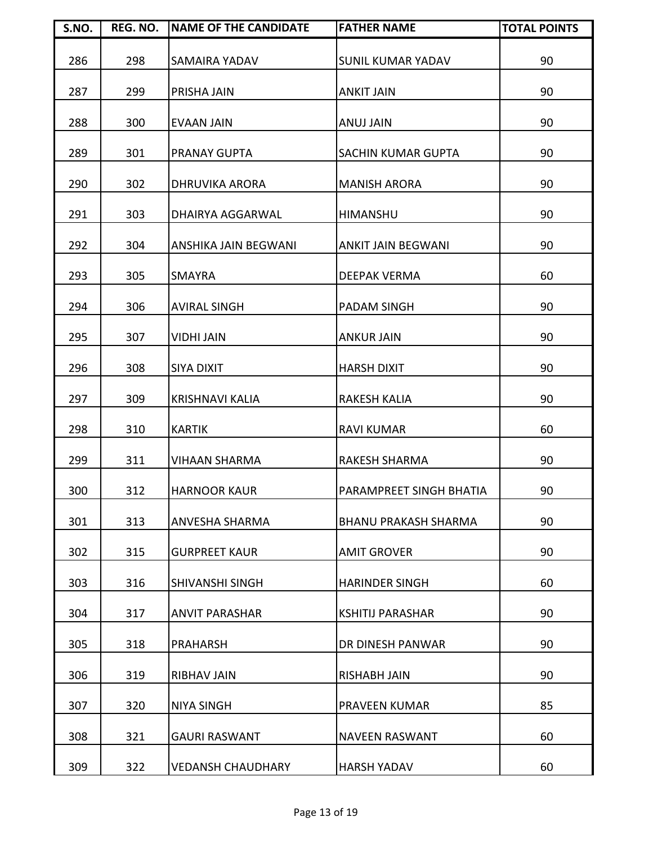| S.NO. | REG. NO. | <b>NAME OF THE CANDIDATE</b> | <b>FATHER NAME</b>          | <b>TOTAL POINTS</b> |
|-------|----------|------------------------------|-----------------------------|---------------------|
| 286   | 298      | <b>SAMAIRA YADAV</b>         | <b>SUNIL KUMAR YADAV</b>    | 90                  |
| 287   | 299      | <b>PRISHA JAIN</b>           | <b>ANKIT JAIN</b>           | 90                  |
| 288   | 300      | <b>EVAAN JAIN</b>            | ANUJ JAIN                   | 90                  |
| 289   | 301      | <b>PRANAY GUPTA</b>          | <b>SACHIN KUMAR GUPTA</b>   | 90                  |
| 290   | 302      | <b>DHRUVIKA ARORA</b>        | <b>MANISH ARORA</b>         | 90                  |
| 291   | 303      | <b>DHAIRYA AGGARWAL</b>      | <b>HIMANSHU</b>             | 90                  |
| 292   | 304      | <b>ANSHIKA JAIN BEGWANI</b>  | <b>ANKIT JAIN BEGWANI</b>   | 90                  |
| 293   | 305      | <b>SMAYRA</b>                | <b>DEEPAK VERMA</b>         | 60                  |
| 294   | 306      | <b>AVIRAL SINGH</b>          | PADAM SINGH                 | 90                  |
| 295   | 307      | <b>VIDHI JAIN</b>            | <b>ANKUR JAIN</b>           | 90                  |
| 296   | 308      | <b>SIYA DIXIT</b>            | <b>HARSH DIXIT</b>          | 90                  |
| 297   | 309      | <b>KRISHNAVI KALIA</b>       | <b>RAKESH KALIA</b>         | 90                  |
| 298   | 310      | <b>KARTIK</b>                | <b>RAVI KUMAR</b>           | 60                  |
| 299   | 311      | <b>VIHAAN SHARMA</b>         | <b>RAKESH SHARMA</b>        | 90                  |
| 300   | 312      | <b>HARNOOR KAUR</b>          | PARAMPREET SINGH BHATIA     | 90                  |
| 301   | 313      | <b>ANVESHA SHARMA</b>        | <b>BHANU PRAKASH SHARMA</b> | 90                  |
| 302   | 315      | <b>GURPREET KAUR</b>         | <b>AMIT GROVER</b>          | 90                  |
| 303   | 316      | <b>SHIVANSHI SINGH</b>       | <b>HARINDER SINGH</b>       | 60                  |
| 304   | 317      | <b>ANVIT PARASHAR</b>        | <b>KSHITIJ PARASHAR</b>     | 90                  |
| 305   | 318      | <b>PRAHARSH</b>              | DR DINESH PANWAR            | 90                  |
| 306   | 319      | <b>RIBHAV JAIN</b>           | <b>RISHABH JAIN</b>         | 90                  |
| 307   | 320      | <b>NIYA SINGH</b>            | PRAVEEN KUMAR               | 85                  |
| 308   | 321      | <b>GAURI RASWANT</b>         | <b>NAVEEN RASWANT</b>       | 60                  |
| 309   | 322      | <b>VEDANSH CHAUDHARY</b>     | <b>HARSH YADAV</b>          | 60                  |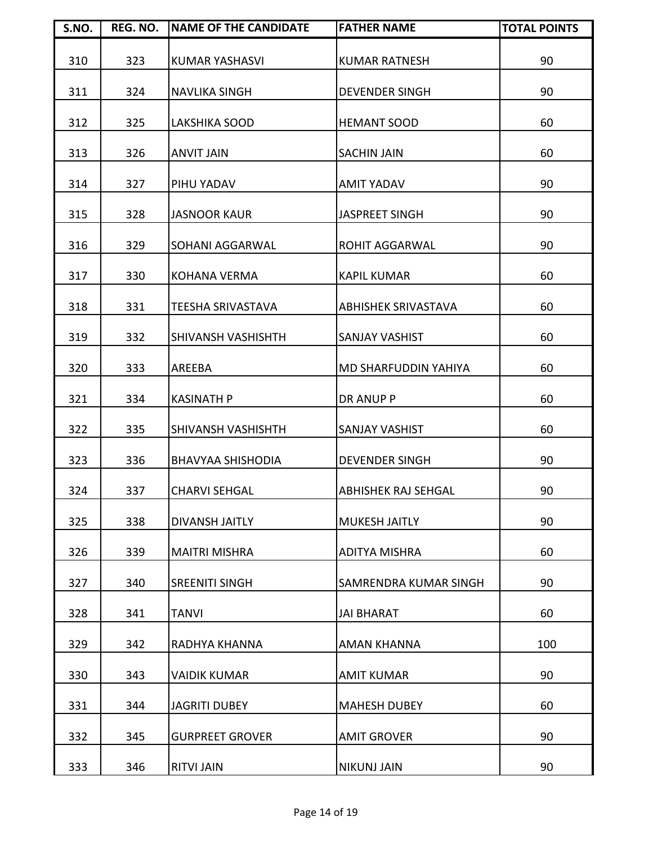| S.NO. | REG. NO. | <b>NAME OF THE CANDIDATE</b> | <b>FATHER NAME</b>           | <b>TOTAL POINTS</b> |
|-------|----------|------------------------------|------------------------------|---------------------|
| 310   | 323      | <b>KUMAR YASHASVI</b>        | <b>KUMAR RATNESH</b>         | 90                  |
| 311   | 324      | <b>NAVLIKA SINGH</b>         | <b>DEVENDER SINGH</b>        | 90                  |
| 312   | 325      | <b>LAKSHIKA SOOD</b>         | <b>HEMANT SOOD</b>           | 60                  |
| 313   | 326      | <b>ANVIT JAIN</b>            | <b>SACHIN JAIN</b>           | 60                  |
| 314   | 327      | PIHU YADAV                   | <b>AMIT YADAV</b>            | 90                  |
| 315   | 328      | <b>JASNOOR KAUR</b>          | <b>JASPREET SINGH</b>        | 90                  |
| 316   | 329      | SOHANI AGGARWAL              | ROHIT AGGARWAL               | 90                  |
| 317   | 330      | <b>KOHANA VERMA</b>          | <b>KAPIL KUMAR</b>           | 60                  |
| 318   | 331      | <b>TEESHA SRIVASTAVA</b>     | <b>ABHISHEK SRIVASTAVA</b>   | 60                  |
| 319   | 332      | SHIVANSH VASHISHTH           | <b>SANJAY VASHIST</b>        | 60                  |
| 320   | 333      | AREEBA                       | MD SHARFUDDIN YAHIYA         | 60                  |
| 321   | 334      | <b>KASINATH P</b>            | DR ANUP P                    | 60                  |
| 322   | 335      | SHIVANSH VASHISHTH           | <b>SANJAY VASHIST</b>        | 60                  |
| 323   | 336      | <b>BHAVYAA SHISHODIA</b>     | <b>DEVENDER SINGH</b>        | 90                  |
| 324   | 337      | <b>CHARVI SEHGAL</b>         | <b>ABHISHEK RAJ SEHGAL</b>   | 90                  |
| 325   | 338      | DIVANSH JAITLY               | <b>MUKESH JAITLY</b>         | 90                  |
| 326   | 339      | <b>MAITRI MISHRA</b>         | <b>ADITYA MISHRA</b>         | 60                  |
| 327   | 340      | <b>SREENITI SINGH</b>        | <b>SAMRENDRA KUMAR SINGH</b> | 90                  |
| 328   | 341      | <b>TANVI</b>                 | <b>JAI BHARAT</b>            | 60                  |
| 329   | 342      | RADHYA KHANNA                | <b>AMAN KHANNA</b>           | 100                 |
| 330   | 343      | <b>VAIDIK KUMAR</b>          | <b>AMIT KUMAR</b>            | 90                  |
| 331   | 344      | <b>JAGRITI DUBEY</b>         | <b>MAHESH DUBEY</b>          | 60                  |
| 332   | 345      | <b>GURPREET GROVER</b>       | <b>AMIT GROVER</b>           | 90                  |
| 333   | 346      | <b>RITVI JAIN</b>            | <b>NIKUNJ JAIN</b>           | 90                  |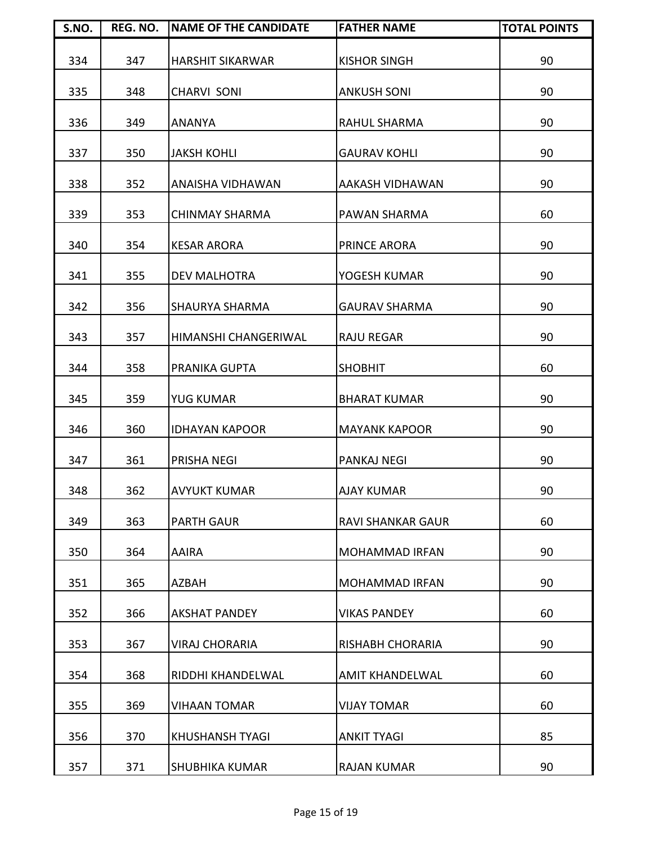| S.NO. | REG. NO. | <b>INAME OF THE CANDIDATE</b> | <b>FATHER NAME</b>       | <b>TOTAL POINTS</b> |
|-------|----------|-------------------------------|--------------------------|---------------------|
| 334   | 347      | <b>HARSHIT SIKARWAR</b>       | <b>KISHOR SINGH</b>      | 90                  |
| 335   | 348      | <b>CHARVI SONI</b>            | <b>ANKUSH SONI</b>       | 90                  |
| 336   | 349      | <b>ANANYA</b>                 | <b>RAHUL SHARMA</b>      | 90                  |
| 337   | 350      | <b>JAKSH KOHLI</b>            | <b>GAURAV KOHLI</b>      | 90                  |
| 338   | 352      | ANAISHA VIDHAWAN              | AAKASH VIDHAWAN          | 90                  |
| 339   | 353      | <b>CHINMAY SHARMA</b>         | PAWAN SHARMA             | 60                  |
| 340   | 354      | <b>KESAR ARORA</b>            | PRINCE ARORA             | 90                  |
| 341   | 355      | <b>DEV MALHOTRA</b>           | YOGESH KUMAR             | 90                  |
| 342   | 356      | <b>SHAURYA SHARMA</b>         | <b>GAURAV SHARMA</b>     | 90                  |
| 343   | 357      | HIMANSHI CHANGERIWAL          | <b>RAJU REGAR</b>        | 90                  |
| 344   | 358      | PRANIKA GUPTA                 | <b>SHOBHIT</b>           | 60                  |
| 345   | 359      | <b>YUG KUMAR</b>              | <b>BHARAT KUMAR</b>      | 90                  |
| 346   | 360      | <b>IDHAYAN KAPOOR</b>         | <b>MAYANK KAPOOR</b>     | 90                  |
| 347   | 361      | <b>PRISHA NEGI</b>            | <b>PANKAJ NEGI</b>       | 90                  |
| 348   | 362      | <b>AVYUKT KUMAR</b>           | <b>AJAY KUMAR</b>        | 90                  |
| 349   | 363      | <b>PARTH GAUR</b>             | <b>RAVI SHANKAR GAUR</b> | 60                  |
| 350   | 364      | <b>AAIRA</b>                  | <b>MOHAMMAD IRFAN</b>    | 90                  |
| 351   | 365      | <b>AZBAH</b>                  | <b>MOHAMMAD IRFAN</b>    | 90                  |
| 352   | 366      | <b>AKSHAT PANDEY</b>          | <b>VIKAS PANDEY</b>      | 60                  |
| 353   | 367      | <b>VIRAJ CHORARIA</b>         | RISHABH CHORARIA         | 90                  |
| 354   | 368      | RIDDHI KHANDELWAL             | AMIT KHANDELWAL          | 60                  |
| 355   | 369      | <b>VIHAAN TOMAR</b>           | <b>VIJAY TOMAR</b>       | 60                  |
| 356   | 370      | <b>KHUSHANSH TYAGI</b>        | <b>ANKIT TYAGI</b>       | 85                  |
| 357   | 371      | <b>SHUBHIKA KUMAR</b>         | <b>RAJAN KUMAR</b>       | 90                  |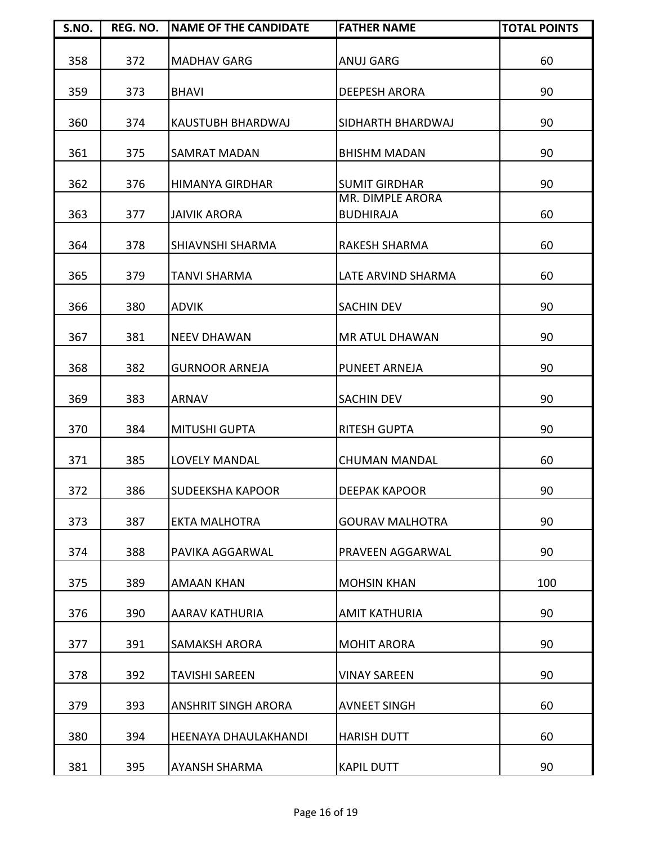| S.NO. | REG. NO. | <b>NAME OF THE CANDIDATE</b> | <b>FATHER NAME</b>                   | <b>TOTAL POINTS</b> |
|-------|----------|------------------------------|--------------------------------------|---------------------|
| 358   | 372      | <b>MADHAV GARG</b>           | <b>ANUJ GARG</b>                     | 60                  |
| 359   | 373      | <b>BHAVI</b>                 | <b>DEEPESH ARORA</b>                 | 90                  |
| 360   | 374      | KAUSTUBH BHARDWAJ            | SIDHARTH BHARDWAJ                    | 90                  |
| 361   | 375      | <b>SAMRAT MADAN</b>          | <b>BHISHM MADAN</b>                  | 90                  |
| 362   | 376      | <b>HIMANYA GIRDHAR</b>       | <b>SUMIT GIRDHAR</b>                 | 90                  |
| 363   | 377      | <b>JAIVIK ARORA</b>          | MR. DIMPLE ARORA<br><b>BUDHIRAJA</b> | 60                  |
| 364   | 378      | <b>SHIAVNSHI SHARMA</b>      | RAKESH SHARMA                        | 60                  |
| 365   | 379      | <b>TANVI SHARMA</b>          | LATE ARVIND SHARMA                   | 60                  |
| 366   | 380      | <b>ADVIK</b>                 | <b>SACHIN DEV</b>                    | 90                  |
| 367   | 381      | <b>NEEV DHAWAN</b>           | <b>MR ATUL DHAWAN</b>                | 90                  |
| 368   | 382      | <b>GURNOOR ARNEJA</b>        | <b>PUNEET ARNEJA</b>                 | 90                  |
| 369   | 383      | <b>ARNAV</b>                 | <b>SACHIN DEV</b>                    | 90                  |
| 370   | 384      | <b>MITUSHI GUPTA</b>         | <b>RITESH GUPTA</b>                  | 90                  |
| 371   | 385      | <b>LOVELY MANDAL</b>         | <b>CHUMAN MANDAL</b>                 | 60                  |
| 372   | 386      | <b>SUDEEKSHA KAPOOR</b>      | <b>DEEPAK KAPOOR</b>                 | 90                  |
| 373   | 387      | <b>EKTA MALHOTRA</b>         | <b>GOURAV MALHOTRA</b>               | 90                  |
| 374   | 388      | PAVIKA AGGARWAL              | PRAVEEN AGGARWAL                     | 90                  |
| 375   | 389      | <b>AMAAN KHAN</b>            | <b>MOHSIN KHAN</b>                   | 100                 |
| 376   | 390      | AARAV KATHURIA               | <b>AMIT KATHURIA</b>                 | 90                  |
| 377   | 391      | <b>SAMAKSH ARORA</b>         | <b>MOHIT ARORA</b>                   | 90                  |
| 378   | 392      | <b>TAVISHI SAREEN</b>        | <b>VINAY SAREEN</b>                  | 90                  |
| 379   | 393      | <b>ANSHRIT SINGH ARORA</b>   | <b>AVNEET SINGH</b>                  | 60                  |
| 380   | 394      | <b>HEENAYA DHAULAKHANDI</b>  | <b>HARISH DUTT</b>                   | 60                  |
| 381   | 395      | <b>AYANSH SHARMA</b>         | <b>KAPIL DUTT</b>                    | 90                  |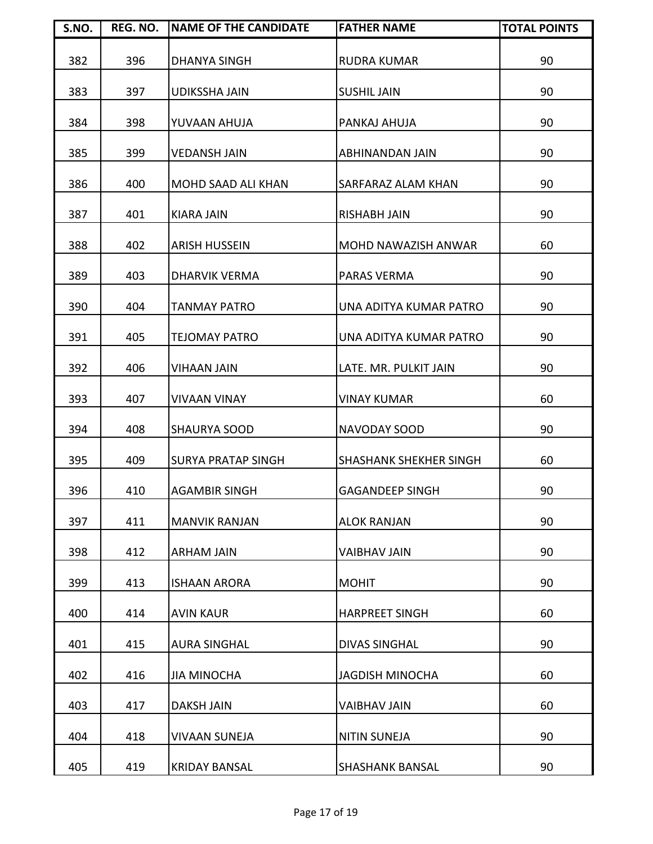| S.NO. | REG. NO. | <b>INAME OF THE CANDIDATE</b> | <b>FATHER NAME</b>            | <b>TOTAL POINTS</b> |
|-------|----------|-------------------------------|-------------------------------|---------------------|
| 382   | 396      | <b>DHANYA SINGH</b>           | <b>RUDRA KUMAR</b>            | 90                  |
| 383   | 397      | <b>UDIKSSHA JAIN</b>          | <b>SUSHIL JAIN</b>            | 90                  |
| 384   | 398      | YUVAAN AHUJA                  | PANKAJ AHUJA                  | 90                  |
| 385   | 399      | <b>VEDANSH JAIN</b>           | ABHINANDAN JAIN               | 90                  |
| 386   | 400      | <b>MOHD SAAD ALI KHAN</b>     | SARFARAZ ALAM KHAN            | 90                  |
| 387   | 401      | <b>KIARA JAIN</b>             | <b>RISHABH JAIN</b>           | 90                  |
| 388   | 402      | <b>ARISH HUSSEIN</b>          | <b>MOHD NAWAZISH ANWAR</b>    | 60                  |
| 389   | 403      | <b>DHARVIK VERMA</b>          | <b>PARAS VERMA</b>            | 90                  |
| 390   | 404      | <b>TANMAY PATRO</b>           | <b>UNA ADITYA KUMAR PATRO</b> | 90                  |
| 391   | 405      | <b>TEJOMAY PATRO</b>          | UNA ADITYA KUMAR PATRO        | 90                  |
| 392   | 406      | <b>VIHAAN JAIN</b>            | LATE. MR. PULKIT JAIN         | 90                  |
| 393   | 407      | <b>VIVAAN VINAY</b>           | <b>VINAY KUMAR</b>            | 60                  |
| 394   | 408      | <b>SHAURYA SOOD</b>           | <b>NAVODAY SOOD</b>           | 90                  |
| 395   | 409      | <b>SURYA PRATAP SINGH</b>     | <b>SHASHANK SHEKHER SINGH</b> | 60                  |
| 396   | 410      | <b>AGAMBIR SINGH</b>          | <b>GAGANDEEP SINGH</b>        | 90                  |
| 397   | 411      | <b>MANVIK RANJAN</b>          | <b>ALOK RANJAN</b>            | 90                  |
| 398   | 412      | <b>ARHAM JAIN</b>             | <b>VAIBHAV JAIN</b>           | 90                  |
| 399   | 413      | <b>ISHAAN ARORA</b>           | <b>MOHIT</b>                  | 90                  |
| 400   | 414      | <b>AVIN KAUR</b>              | <b>HARPREET SINGH</b>         | 60                  |
| 401   | 415      | <b>AURA SINGHAL</b>           | <b>DIVAS SINGHAL</b>          | 90                  |
| 402   | 416      | <b>JIA MINOCHA</b>            | <b>JAGDISH MINOCHA</b>        | 60                  |
| 403   | 417      | <b>DAKSH JAIN</b>             | <b>VAIBHAV JAIN</b>           | 60                  |
| 404   | 418      | <b>VIVAAN SUNEJA</b>          | <b>NITIN SUNEJA</b>           | 90                  |
| 405   | 419      | <b>KRIDAY BANSAL</b>          | <b>SHASHANK BANSAL</b>        | 90                  |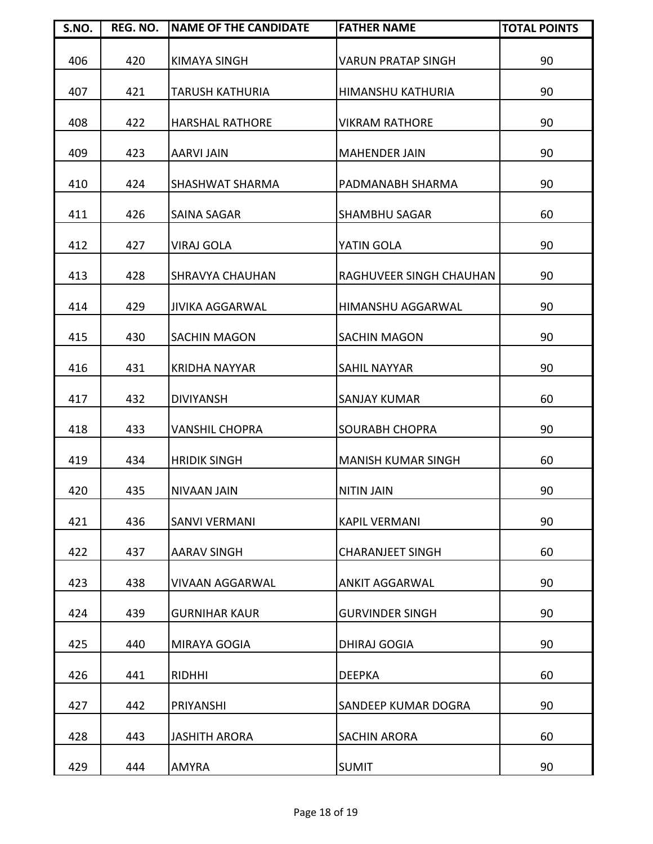| S.NO. | REG. NO. | <b>NAME OF THE CANDIDATE</b> | <b>FATHER NAME</b>        | <b>TOTAL POINTS</b> |
|-------|----------|------------------------------|---------------------------|---------------------|
| 406   | 420      | <b>KIMAYA SINGH</b>          | VARUN PRATAP SINGH        | 90                  |
| 407   | 421      | <b>TARUSH KATHURIA</b>       | HIMANSHU KATHURIA         | 90                  |
| 408   | 422      | <b>HARSHAL RATHORE</b>       | <b>VIKRAM RATHORE</b>     | 90                  |
| 409   | 423      | <b>AARVI JAIN</b>            | <b>MAHENDER JAIN</b>      | 90                  |
| 410   | 424      | <b>SHASHWAT SHARMA</b>       | PADMANABH SHARMA          | 90                  |
| 411   | 426      | <b>SAINA SAGAR</b>           | <b>SHAMBHU SAGAR</b>      | 60                  |
| 412   | 427      | VIRAJ GOLA                   | YATIN GOLA                | 90                  |
| 413   | 428      | <b>SHRAVYA CHAUHAN</b>       | RAGHUVEER SINGH CHAUHAN   | 90                  |
| 414   | 429      | <b>JIVIKA AGGARWAL</b>       | <b>HIMANSHU AGGARWAL</b>  | 90                  |
| 415   | 430      | <b>SACHIN MAGON</b>          | SACHIN MAGON              | 90                  |
| 416   | 431      | <b>KRIDHA NAYYAR</b>         | <b>SAHIL NAYYAR</b>       | 90                  |
| 417   | 432      | <b>DIVIYANSH</b>             | <b>SANJAY KUMAR</b>       | 60                  |
| 418   | 433      | <b>VANSHIL CHOPRA</b>        | <b>SOURABH CHOPRA</b>     | 90                  |
| 419   | 434      | <b>HRIDIK SINGH</b>          | <b>MANISH KUMAR SINGH</b> | 60                  |
| 420   | 435      | NIVAAN JAIN                  | <b>NITIN JAIN</b>         | 90                  |
| 421   | 436      | <b>SANVI VERMANI</b>         | <b>KAPIL VERMANI</b>      | 90                  |
| 422   | 437      | <b>AARAV SINGH</b>           | <b>CHARANJEET SINGH</b>   | 60                  |
| 423   | 438      | <b>VIVAAN AGGARWAL</b>       | <b>ANKIT AGGARWAL</b>     | 90                  |
| 424   | 439      | <b>GURNIHAR KAUR</b>         | <b>GURVINDER SINGH</b>    | 90                  |
| 425   | 440      | MIRAYA GOGIA                 | <b>DHIRAJ GOGIA</b>       | 90                  |
| 426   | 441      | <b>RIDHHI</b>                | <b>DEEPKA</b>             | 60                  |
| 427   | 442      | PRIYANSHI                    | SANDEEP KUMAR DOGRA       | 90                  |
| 428   | 443      | <b>JASHITH ARORA</b>         | <b>SACHIN ARORA</b>       | 60                  |
| 429   | 444      | <b>AMYRA</b>                 | <b>SUMIT</b>              | 90                  |